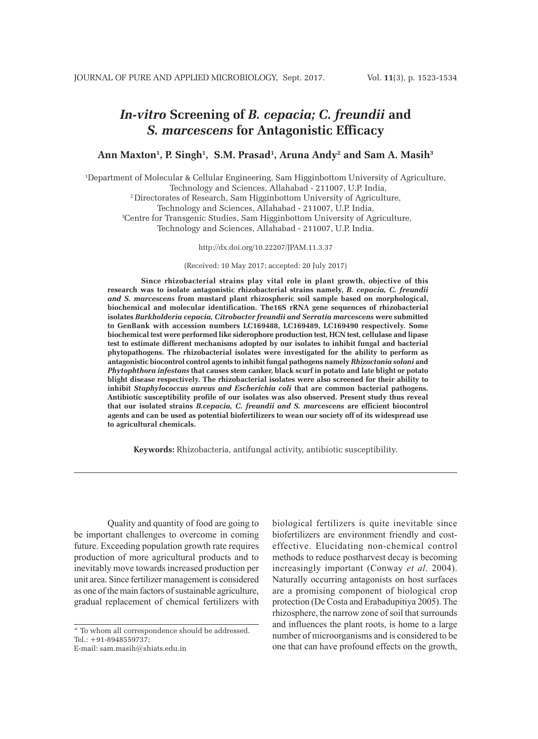# *In-vitro* **Screening of** *B. cepacia; C. freundii* **and**  *S. marcescens* **for Antagonistic Efficacy**

### Ann Maxton<sup>1</sup>, P. Singh<sup>1</sup>, S.M. Prasad<sup>1</sup>, Aruna Andy<sup>2</sup> and Sam A. Masih<sup>3</sup>

1 Department of Molecular & Cellular Engineering, Sam Higginbottom University of Agriculture, Technology and Sciences, Allahabad - 211007, U.P. India, 2 Directorates of Research, Sam Higginbottom University of Agriculture, Technology and Sciences, Allahabad - 211007, U.P. India, 3 Centre for Transgenic Studies, Sam Higginbottom University of Agriculture, Technology and Sciences, Allahabad - 211007, U.P. India.

http://dx.doi.org/10.22207/JPAM.11.3.37

(Received: 10 May 2017; accepted: 20 July 2017)

**Since rhizobacterial strains play vital role in plant growth, objective of this research was to isolate antagonistic rhizobacterial strains namely,** *B. cepacia, C. freundii and S. marcescens* **from mustard plant rhizospheric soil sample based on morphological, biochemical and molecular identification. The16S rRNA gene sequences of rhizobacterial isolates** *Burkholderia cepacia, Citrobacter freundii and Serratia marcescens* **were submitted to GenBank with accession numbers LC169488, LC169489, LC169490 respectively. Some biochemical test were performed like siderophore production test, HCN test, cellulase and lipase test to estimate different mechanisms adopted by our isolates to inhibit fungal and bacterial phytopathogens. The rhizobacterial isolates were investigated for the ability to perform as antagonistic biocontrol control agents to inhibit fungal pathogens namely** *Rhizoctonia solani* **and** *Phytophthora infestans* **that causes stem canker, black scurf in potato and late blight or potato blight disease respectively. The rhizobacterial isolates were also screened for their ability to inhibit** *Staphylococcus aureus and Escherichia coli* **that are common bacterial pathogens. Antibiotic susceptibility profile of our isolates was also observed. Present study thus reveal that our isolated strains** *B.cepacia, C. freundii and S. marcescens* **are efficient biocontrol agents and can be used as potential biofertilizers to wean our society off of its widespread use to agricultural chemicals.** 

**Keywords:** Rhizobacteria, antifungal activity, antibiotic susceptibility.

Quality and quantity of food are going to be important challenges to overcome in coming future. Exceeding population growth rate requires production of more agricultural products and to inevitably move towards increased production per unit area. Since fertilizer management is considered as one of the main factors of sustainable agriculture, gradual replacement of chemical fertilizers with

biological fertilizers is quite inevitable since biofertilizers are environment friendly and costeffective. Elucidating non-chemical control methods to reduce postharvest decay is becoming increasingly important (Conway *et al*. 2004). Naturally occurring antagonists on host surfaces are a promising component of biological crop protection (De Costa and Erabadupitiya 2005). The rhizosphere, the narrow zone of soil that surrounds and influences the plant roots, is home to a large number of microorganisms and is considered to be one that can have profound effects on the growth,

<sup>\*</sup> To whom all correspondence should be addressed. Tel.: +91-8948559737;

E-mail: sam.masih@shiats.edu.in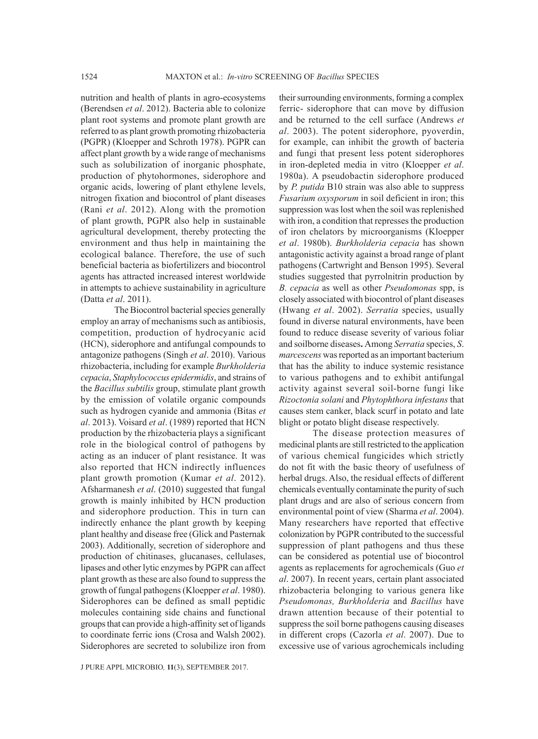nutrition and health of plants in agro-ecosystems (Berendsen *et al*. 2012). Bacteria able to colonize plant root systems and promote plant growth are referred to as plant growth promoting rhizobacteria (PGPR) (Kloepper and Schroth 1978). PGPR can affect plant growth by a wide range of mechanisms such as solubilization of inorganic phosphate, production of phytohormones, siderophore and organic acids, lowering of plant ethylene levels, nitrogen fixation and biocontrol of plant diseases (Rani *et al*. 2012). Along with the promotion of plant growth, PGPR also help in sustainable agricultural development, thereby protecting the environment and thus help in maintaining the ecological balance. Therefore, the use of such beneficial bacteria as biofertilizers and biocontrol agents has attracted increased interest worldwide in attempts to achieve sustainability in agriculture (Datta *et al*. 2011).

The Biocontrol bacterial species generally employ an array of mechanisms such as antibiosis, competition, production of hydrocyanic acid (HCN), siderophore and antifungal compounds to antagonize pathogens (Singh *et al*. 2010). Various rhizobacteria, including for example *Burkholderia cepacia*, *Staphylococcus epidermidis*, and strains of the *Bacillus subtilis* group, stimulate plant growth by the emission of volatile organic compounds such as hydrogen cyanide and ammonia (Bitas *et al*. 2013). Voisard *et al*. (1989) reported that HCN production by the rhizobacteria plays a significant role in the biological control of pathogens by acting as an inducer of plant resistance. It was also reported that HCN indirectly influences plant growth promotion (Kumar *et al*. 2012). Afsharmanesh *et al*. (2010) suggested that fungal growth is mainly inhibited by HCN production and siderophore production. This in turn can indirectly enhance the plant growth by keeping plant healthy and disease free (Glick and Pasternak 2003). Additionally, secretion of siderophore and production of chitinases, glucanases, cellulases, lipases and other lytic enzymes by PGPR can affect plant growth as these are also found to suppress the growth of fungal pathogens (Kloepper *et al*. 1980). Siderophores can be defined as small peptidic molecules containing side chains and functional groups that can provide a high-affinity set of ligands to coordinate ferric ions (Crosa and Walsh 2002). Siderophores are secreted to solubilize iron from

their surrounding environments, forming a complex ferric- siderophore that can move by diffusion and be returned to the cell surface (Andrews *et al*. 2003). The potent siderophore, pyoverdin, for example, can inhibit the growth of bacteria and fungi that present less potent siderophores in iron-depleted media in vitro (Kloepper *et al*. 1980a). A pseudobactin siderophore produced by *P. putida* B10 strain was also able to suppress *Fusarium oxysporum* in soil deficient in iron; this suppression was lost when the soil was replenished with iron, a condition that represses the production of iron chelators by microorganisms (Kloepper *et al*. 1980b). *Burkholderia cepacia* has shown antagonistic activity against a broad range of plant pathogens (Cartwright and Benson 1995). Several studies suggested that pyrrolnitrin production by *B. cepacia* as well as other *Pseudomonas* spp, is closely associated with biocontrol of plant diseases (Hwang *et al*. 2002). *Serratia* species, usually found in diverse natural environments, have been found to reduce disease severity of various foliar and soilborne diseases**.** Among *Serratia* species, *S*. *marcescens* was reported as an important bacterium that has the ability to induce systemic resistance to various pathogens and to exhibit antifungal activity against several soil-borne fungi like *Rizoctonia solani* and *Phytophthora infestans* that causes stem canker, black scurf in potato and late blight or potato blight disease respectively.

The disease protection measures of medicinal plants are still restricted to the application of various chemical fungicides which strictly do not fit with the basic theory of usefulness of herbal drugs. Also, the residual effects of different chemicals eventually contaminate the purity of such plant drugs and are also of serious concern from environmental point of view (Sharma *et al*. 2004). Many researchers have reported that effective colonization by PGPR contributed to the successful suppression of plant pathogens and thus these can be considered as potential use of biocontrol agents as replacements for agrochemicals (Guo *et al*. 2007). In recent years, certain plant associated rhizobacteria belonging to various genera like *Pseudomonas, Burkholderia* and *Bacillus* have drawn attention because of their potential to suppress the soil borne pathogens causing diseases in different crops (Cazorla *et al*. 2007). Due to excessive use of various agrochemicals including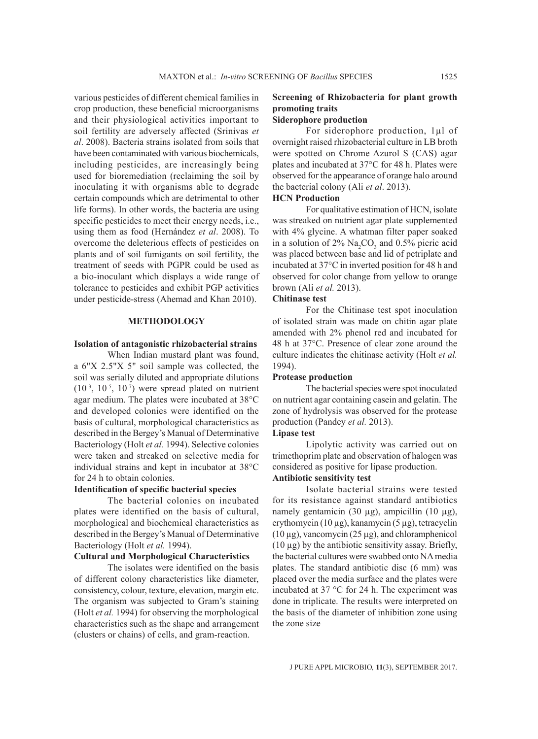various pesticides of different chemical families in crop production, these beneficial microorganisms and their physiological activities important to soil fertility are adversely affected (Srinivas *et al*. 2008). Bacteria strains isolated from soils that have been contaminated with various biochemicals, including pesticides, are increasingly being used for bioremediation (reclaiming the soil by inoculating it with organisms able to degrade certain compounds which are detrimental to other life forms). In other words, the bacteria are using specific pesticides to meet their energy needs, i.e., using them as food (Hernández *et al*. 2008). To overcome the deleterious effects of pesticides on plants and of soil fumigants on soil fertility, the treatment of seeds with PGPR could be used as a bio-inoculant which displays a wide range of tolerance to pesticides and exhibit PGP activities under pesticide-stress (Ahemad and Khan 2010).

#### **METHODOLOGY**

### **Isolation of antagonistic rhizobacterial strains**

When Indian mustard plant was found, a 6"X 2.5"X 5" soil sample was collected, the soil was serially diluted and appropriate dilutions  $(10^{-3}, 10^{-5}, 10^{-7})$  were spread plated on nutrient agar medium. The plates were incubated at 38°C and developed colonies were identified on the basis of cultural, morphological characteristics as described in the Bergey's Manual of Determinative Bacteriology (Holt *et al.* 1994). Selective colonies were taken and streaked on selective media for individual strains and kept in incubator at 38°C for 24 h to obtain colonies.

### **Identification of specific bacterial species**

The bacterial colonies on incubated plates were identified on the basis of cultural, morphological and biochemical characteristics as described in the Bergey's Manual of Determinative Bacteriology (Holt *et al.* 1994).

### **Cultural and Morphological Characteristics**

The isolates were identified on the basis of different colony characteristics like diameter, consistency, colour, texture, elevation, margin etc. The organism was subjected to Gram's staining (Holt *et al.* 1994) for observing the morphological characteristics such as the shape and arrangement (clusters or chains) of cells, and gram-reaction.

## **Screening of Rhizobacteria for plant growth promoting traits**

### **Siderophore production**

For siderophore production, 1µl of overnight raised rhizobacterial culture in LB broth were spotted on Chrome Azurol S (CAS) agar plates and incubated at 37°C for 48 h. Plates were observed for the appearance of orange halo around the bacterial colony (Ali *et al*. 2013).

### **HCN Production**

For qualitative estimation of HCN, isolate was streaked on nutrient agar plate supplemented with 4% glycine. A whatman filter paper soaked in a solution of  $2\%$  Na<sub>2</sub>CO<sub>3</sub> and 0.5% picric acid was placed between base and lid of petriplate and incubated at 37°C in inverted position for 48 h and observed for color change from yellow to orange brown (Ali *et al.* 2013).

### **Chitinase test**

For the Chitinase test spot inoculation of isolated strain was made on chitin agar plate amended with 2% phenol red and incubated for 48 h at 37°C. Presence of clear zone around the culture indicates the chitinase activity (Holt *et al.* 1994).

#### **Protease production**

The bacterial species were spot inoculated on nutrient agar containing casein and gelatin. The zone of hydrolysis was observed for the protease production (Pandey *et al.* 2013).

### **Lipase test**

Lipolytic activity was carried out on trimethoprim plate and observation of halogen was considered as positive for lipase production.

### **Antibiotic sensitivity test**

Isolate bacterial strains were tested for its resistance against standard antibiotics namely gentamicin  $(30 \mu g)$ , ampicillin  $(10 \mu g)$ , erythomycin (10 µg), kanamycin (5 µg), tetracyclin  $(10 \,\mu$ g), vancomycin  $(25 \,\mu$ g), and chloramphenicol  $(10 \mu g)$  by the antibiotic sensitivity assay. Briefly, the bacterial cultures were swabbed onto NA media plates. The standard antibiotic disc (6 mm) was placed over the media surface and the plates were incubated at 37 °C for 24 h. The experiment was done in triplicate. The results were interpreted on the basis of the diameter of inhibition zone using the zone size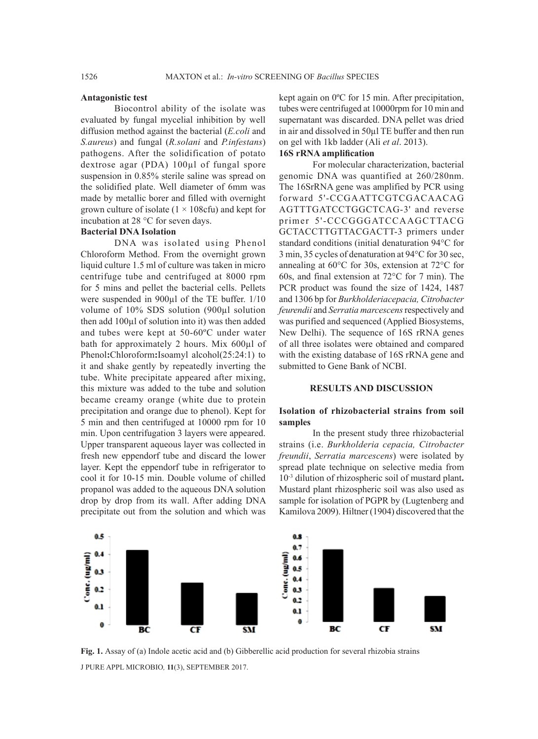#### **Antagonistic test**

Biocontrol ability of the isolate was evaluated by fungal mycelial inhibition by well diffusion method against the bacterial (*E.coli* and *S.aureus*) and fungal (*R.solani* and *P.infestans*) pathogens. After the solidification of potato dextrose agar (PDA) 100µl of fungal spore suspension in 0.85% sterile saline was spread on the solidified plate. Well diameter of 6mm was made by metallic borer and filled with overnight grown culture of isolate  $(1 \times 108$ cfu) and kept for incubation at 28 °C for seven days.

### **Bacterial DNA Isolation**

DNA was isolated using Phenol Chloroform Method. From the overnight grown liquid culture 1.5 ml of culture was taken in micro centrifuge tube and centrifuged at 8000 rpm for 5 mins and pellet the bacterial cells. Pellets were suspended in 900 $\mu$ l of the TE buffer. 1/10 volume of 10% SDS solution (900µl solution then add 100µl of solution into it) was then added and tubes were kept at 50-60ºC under water bath for approximately 2 hours. Mix 600µl of Phenol**:**Chloroform**:**Isoamyl alcohol(25:24:1) to it and shake gently by repeatedly inverting the tube. White precipitate appeared after mixing, this mixture was added to the tube and solution became creamy orange (white due to protein precipitation and orange due to phenol). Kept for 5 min and then centrifuged at 10000 rpm for 10 min. Upon centrifugation 3 layers were appeared. Upper transparent aqueous layer was collected in fresh new eppendorf tube and discard the lower layer. Kept the eppendorf tube in refrigerator to cool it for 10-15 min. Double volume of chilled propanol was added to the aqueous DNA solution drop by drop from its wall. After adding DNA precipitate out from the solution and which was

kept again on 0ºC for 15 min. After precipitation, tubes were centrifuged at 10000rpm for 10 min and supernatant was discarded. DNA pellet was dried in air and dissolved in 50µl TE buffer and then run on gel with 1kb ladder (Ali *et al*. 2013).

### **16S rRNA amplification**

For molecular characterization, bacterial genomic DNA was quantified at 260/280nm. The 16SrRNA gene was amplified by PCR using forward 5'-CCGAATTCGTCGACAACAG AGTTTGATCCTGGCTCAG-3' and reverse primer 5'-CCCGGGATCCAAGCTTACG GCTACCTTGTTACGACTT-3 primers under standard conditions (initial denaturation 94°C for 3 min, 35 cycles of denaturation at 94°C for 30 sec, annealing at 60°C for 30s, extension at 72°C for 60s, and final extension at 72°C for 7 min). The PCR product was found the size of 1424, 1487 and 1306 bp for *Burkholderiacepacia, Citrobacter feurendii* and *Serratia marcescens* respectively and was purified and sequenced (Applied Biosystems, New Delhi). The sequence of 16S rRNA genes of all three isolates were obtained and compared with the existing database of 16S rRNA gene and submitted to Gene Bank of NCBI.

#### **RESULTS AND DISCUSSION**

### **Isolation of rhizobacterial strains from soil samples**

In the present study three rhizobacterial strains (i.e. *Burkholderia cepacia, Citrobacter freundii*, *Serratia marcescens*) were isolated by spread plate technique on selective media from 10-3 dilution of rhizospheric soil of mustard plant**.**  Mustard plant rhizospheric soil was also used as sample for isolation of PGPR by (Lugtenberg and Kamilova 2009). Hiltner (1904) discovered that the



J PURE APPL MICROBIO*,* **11**(3), SEPTEMBER 2017. **Fig. 1.** Assay of (a) Indole acetic acid and (b) Gibberellic acid production for several rhizobia strains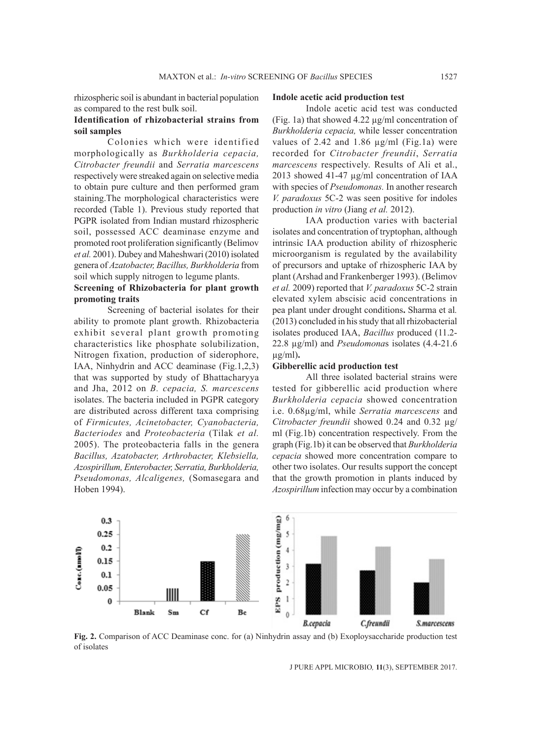rhizospheric soil is abundant in bacterial population as compared to the rest bulk soil.

### **Identification of rhizobacterial strains from soil samples**

Colonies which were identified morphologically as *Burkholderia cepacia, Citrobacter freundii* and *Serratia marcescens*  respectively were streaked again on selective media to obtain pure culture and then performed gram staining.The morphological characteristics were recorded (Table 1). Previous study reported that PGPR isolated from Indian mustard rhizospheric soil, possessed ACC deaminase enzyme and promoted root proliferation significantly (Belimov *et al.* 2001). Dubey and Maheshwari (2010) isolated genera of *Azatobacter, Bacillus, Burkholderia* from soil which supply nitrogen to legume plants.

### **Screening of Rhizobacteria for plant growth promoting traits**

Screening of bacterial isolates for their ability to promote plant growth. Rhizobacteria exhibit several plant growth promoting characteristics like phosphate solubilization, Nitrogen fixation, production of siderophore, IAA, Ninhydrin and ACC deaminase (Fig.1,2,3) that was supported by study of Bhattacharyya and Jha, 2012 on *B. cepacia, S. marcescens* isolates. The bacteria included in PGPR category are distributed across different taxa comprising of *Firmicutes, Acinetobacter, Cyanobacteria, Bacteriodes* and *Proteobacteria* (Tilak *et al.* 2005). The proteobacteria falls in the genera *Bacillus, Azatobacter, Arthrobacter, Klebsiella, Azospirillum, Enterobacter, Serratia, Burkholderia, Pseudomonas, Alcaligenes,* (Somasegara and Hoben 1994).

#### **Indole acetic acid production test**

Indole acetic acid test was conducted (Fig. 1a) that showed 4.22 µg/ml concentration of *Burkholderia cepacia,* while lesser concentration values of 2.42 and 1.86  $\mu$ g/ml (Fig.1a) were recorded for *Citrobacter freundii*, *Serratia marcescens* respectively. Results of Ali et al., 2013 showed 41-47 µg/ml concentration of IAA with species of *Pseudomonas.* In another research *V. paradoxus* 5C-2 was seen positive for indoles production *in vitro* (Jiang *et al.* 2012).

IAA production varies with bacterial isolates and concentration of tryptophan, although intrinsic IAA production ability of rhizospheric microorganism is regulated by the availability of precursors and uptake of rhizospheric IAA by plant (Arshad and Frankenberger 1993). (Belimov *et al.* 2009) reported that *V. paradoxus* 5C-2 strain elevated xylem abscisic acid concentrations in pea plant under drought conditions**.** Sharma et al*.* (2013) concluded in his study that all rhizobacterial isolates produced IAA, *Bacillus* produced (11.2- 22.8 µg/ml) and *Pseudomona*s isolates (4.4-21.6 µg/ml)**.**

#### **Gibberellic acid production test**

All three isolated bacterial strains were tested for gibberellic acid production where *Burkholderia cepacia* showed concentration i.e. 0.68µg/ml, while *Serratia marcescens* and *Citrobacter freundii* showed 0.24 and 0.32 µg/ ml (Fig.1b) concentration respectively. From the graph (Fig.1b) it can be observed that *Burkholderia cepacia* showed more concentration compare to other two isolates. Our results support the concept that the growth promotion in plants induced by *Azospirillum* infection may occur by a combination



**Fig. 2.** Comparison of ACC Deaminase conc. for (a) Ninhydrin assay and (b) Exoploysaccharide production test of isolates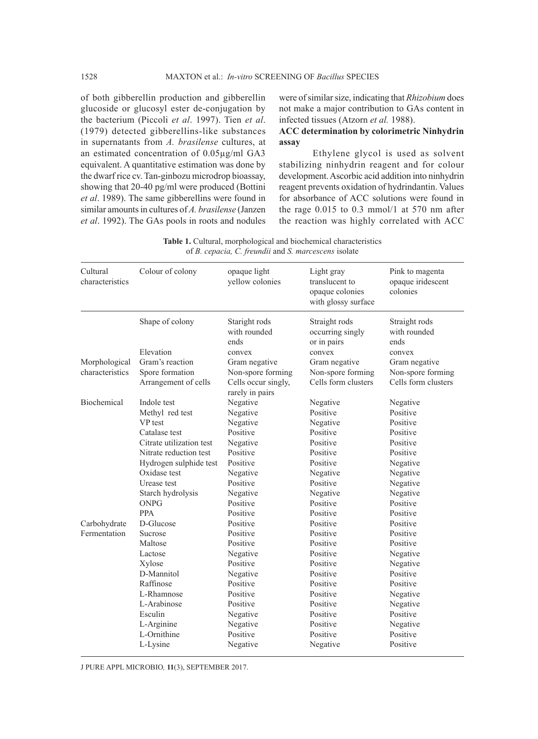of both gibberellin production and gibberellin glucoside or glucosyl ester de-conjugation by the bacterium (Piccoli *et al*. 1997). Tien *et al*. (1979) detected gibberellins-like substances in supernatants from *A. brasilense* cultures, at an estimated concentration of 0.05µg/ml GA3 equivalent. A quantitative estimation was done by the dwarf rice cv. Tan-ginbozu microdrop bioassay, showing that 20-40 pg/ml were produced (Bottini *et al*. 1989). The same gibberellins were found in similar amounts in cultures of *A. brasilense* (Janzen *et al*. 1992). The GAs pools in roots and nodules were of similar size, indicating that *Rhizobium* does not make a major contribution to GAs content in infected tissues (Atzorn *et al.* 1988).

### **ACC determination by colorimetric Ninhydrin assay**

Ethylene glycol is used as solvent stabilizing ninhydrin reagent and for colour development. Ascorbic acid addition into ninhydrin reagent prevents oxidation of hydrindantin. Values for absorbance of ACC solutions were found in the rage 0.015 to 0.3 mmol/1 at 570 nm after the reaction was highly correlated with ACC

**Table 1.** Cultural, morphological and biochemical characteristics of *B. cepacia, C. freundii* and *S. marcescens* isolate

| Cultural<br>characteristics | Colour of colony         | opaque light<br>yellow colonies        | Light gray<br>translucent to<br>opaque colonies<br>with glossy surface | Pink to magenta<br>opaque iridescent<br>colonies |
|-----------------------------|--------------------------|----------------------------------------|------------------------------------------------------------------------|--------------------------------------------------|
|                             | Shape of colony          | Staright rods<br>with rounded<br>ends  | Straight rods<br>occurring singly<br>or in pairs                       | Straight rods<br>with rounded<br>ends            |
|                             | Elevation                | convex                                 | convex                                                                 | convex                                           |
| Morphological               | Gram's reaction          | Gram negative                          | Gram negative                                                          | Gram negative                                    |
| characteristics             | Spore formation          | Non-spore forming                      | Non-spore forming                                                      | Non-spore forming                                |
|                             | Arrangement of cells     | Cells occur singly,<br>rarely in pairs | Cells form clusters                                                    | Cells form clusters                              |
| Biochemical                 | Indole test              | Negative                               | Negative                                                               | Negative                                         |
|                             | Methyl red test          | Negative                               | Positive                                                               | Positive                                         |
|                             | VP test                  | Negative                               | Negative                                                               | Positive                                         |
|                             | Catalase test            | Positive                               | Positive                                                               | Positive                                         |
|                             | Citrate utilization test | Negative                               | Positive                                                               | Positive                                         |
|                             | Nitrate reduction test   | Positive                               | Positive                                                               | Positive                                         |
|                             | Hydrogen sulphide test   | Positive                               | Positive                                                               | Negative                                         |
|                             | Oxidase test             | Negative                               | Negative                                                               | Negative                                         |
|                             | Urease test              | Positive                               | Positive                                                               | Negative                                         |
|                             | Starch hydrolysis        | Negative                               | Negative                                                               | Negative                                         |
|                             | <b>ONPG</b>              | Positive                               | Positive                                                               | Positive                                         |
|                             | <b>PPA</b>               | Positive                               | Positive                                                               | Positive                                         |
| Carbohydrate                | D-Glucose                | Positive                               | Positive                                                               | Positive                                         |
| Fermentation                | Sucrose                  | Positive                               | Positive                                                               | Positive                                         |
|                             | Maltose                  | Positive                               | Positive                                                               | Positive                                         |
|                             | Lactose                  | Negative                               | Positive                                                               | Negative                                         |
|                             | Xylose                   | Positive                               | Positive                                                               | Negative                                         |
|                             | D-Mannitol               | Negative                               | Positive                                                               | Positive                                         |
|                             | Raffinose                | Positive                               | Positive                                                               | Positive                                         |
|                             | L-Rhamnose               | Positive                               | Positive                                                               | Negative                                         |
|                             | L-Arabinose              | Positive                               | Positive                                                               | Negative                                         |
|                             | Esculin                  | Negative                               | Positive                                                               | Positive                                         |
|                             | L-Arginine               | Negative                               | Positive                                                               | Negative                                         |
|                             | L-Ornithine              | Positive                               | Positive                                                               | Positive                                         |
|                             | L-Lysine                 | Negative                               | Negative                                                               | Positive                                         |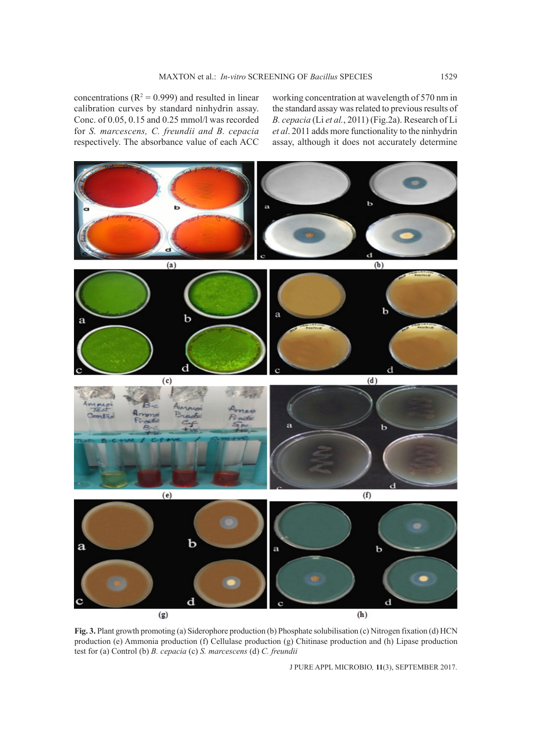concentrations ( $R^2 = 0.999$ ) and resulted in linear calibration curves by standard ninhydrin assay. Conc. of 0.05, 0.15 and 0.25 mmol/l was recorded for *S. marcescens, C. freundii and B. cepacia* respectively. The absorbance value of each ACC

working concentration at wavelength of 570 nm in the standard assay was related to previous results of *B. cepacia* (Li *et al.*, 2011) (Fig.2a). Research of Li *et al*. 2011 adds more functionality to the ninhydrin assay, although it does not accurately determine



**Fig. 3.** Plant growth promoting (a) Siderophore production (b) Phosphate solubilisation (c) Nitrogen fixation (d) HCN production (e) Ammonia production (f) Cellulase production (g) Chitinase production and (h) Lipase production test for (a) Control (b) *B. cepacia* (c) *S. marcescens* (d) *C. freundii*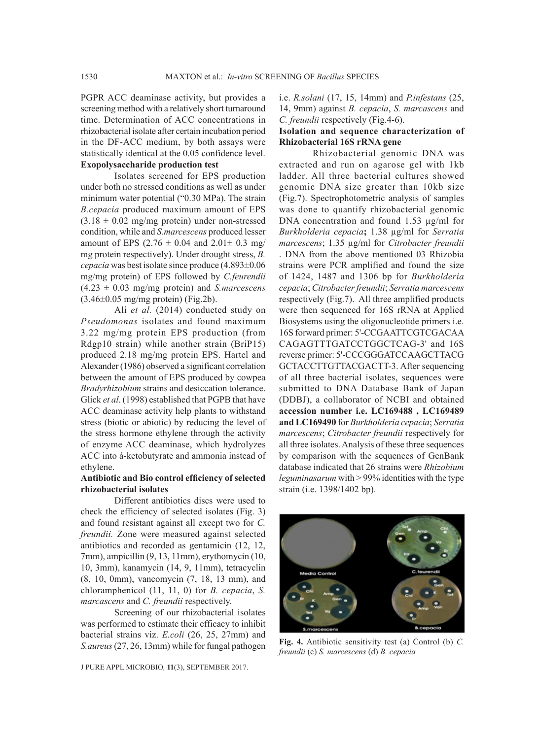PGPR ACC deaminase activity, but provides a screening method with a relatively short turnaround time. Determination of ACC concentrations in rhizobacterial isolate after certain incubation period in the DF-ACC medium, by both assays were statistically identical at the 0.05 confidence level. **Exopolysaccharide production test**

Isolates screened for EPS production under both no stressed conditions as well as under minimum water potential ("0.30 MPa). The strain *B.cepacia* produced maximum amount of EPS  $(3.18 \pm 0.02 \text{ mg/mg protein})$  under non-stressed condition, while and *S.marcescens* produced lesser amount of EPS  $(2.76 \pm 0.04 \text{ and } 2.01 \pm 0.3 \text{ mg})$ mg protein respectively). Under drought stress, *B. cepacia* was best isolate since produce (4.893±0.06 mg/mg protein) of EPS followed by *C.feurendii*  (4.23 ± 0.03 mg/mg protein) and *S.marcescens*  $(3.46\pm0.05 \text{ mg/mg protein})$  (Fig.2b).

Ali *et al.* (2014) conducted study on *Pseudomonas* isolates and found maximum 3.22 mg/mg protein EPS production (from Rdgp10 strain) while another strain (BriP15) produced 2.18 mg/mg protein EPS. Hartel and Alexander (1986) observed a significant correlation between the amount of EPS produced by cowpea *Bradyrhizobium* strains and desiccation tolerance. Glick *et al*. (1998) established that PGPB that have ACC deaminase activity help plants to withstand stress (biotic or abiotic) by reducing the level of the stress hormone ethylene through the activity of enzyme ACC deaminase, which hydrolyzes ACC into á-ketobutyrate and ammonia instead of ethylene.

#### **Antibiotic and Bio control efficiency of selected rhizobacterial isolates**

Different antibiotics discs were used to check the efficiency of selected isolates (Fig. 3) and found resistant against all except two for *C. freundii.* Zone were measured against selected antibiotics and recorded as gentamicin (12, 12, 7mm), ampicillin (9, 13, 11mm), erythomycin (10, 10, 3mm), kanamycin (14, 9, 11mm), tetracyclin (8, 10, 0mm), vancomycin (7, 18, 13 mm), and chloramphenicol (11, 11, 0) for *B. cepacia*, *S. marcascens* and *C. freundii* respectively.

Screening of our rhizobacterial isolates was performed to estimate their efficacy to inhibit bacterial strains viz. *E.coli* (26, 25, 27mm) and *S.aureus* (27, 26, 13mm) while for fungal pathogen

J PURE APPL MICROBIO*,* **11**(3), SEPTEMBER 2017.

i.e. *R.solani* (17, 15, 14mm) and *P.infestans* (25, 14, 9mm) against *B. cepacia*, *S. marcascens* and *C. freundii* respectively (Fig.4-6).

### **Isolation and sequence characterization of Rhizobacterial 16S rRNA gene**

Rhizobacterial genomic DNA was extracted and run on agarose gel with 1kb ladder. All three bacterial cultures showed genomic DNA size greater than 10kb size (Fig.7). Spectrophotometric analysis of samples was done to quantify rhizobacterial genomic DNA concentration and found 1.53 µg/ml for *Burkholderia cepacia***;** 1.38 µg/ml for *Serratia marcescens*; 1.35 µg/ml for *Citrobacter freundii*  . DNA from the above mentioned 03 Rhizobia strains were PCR amplified and found the size of 1424, 1487 and 1306 bp for *Burkholderia cepacia*; *Citrobacter freundii*; *Serratia marcescens*  respectively (Fig.7). All three amplified products were then sequenced for 16S rRNA at Applied Biosystems using the oligonucleotide primers i.e. 16S forward primer: 5'-CCGAATTCGTCGACAA CAGAGTTTGATCCTGGCTCAG-3' and 16S reverse primer: 5'-CCCGGGATCCAAGCTTACG GCTACCTTGTTACGACTT-3. After sequencing of all three bacterial isolates, sequences were submitted to DNA Database Bank of Japan (DDBJ), a collaborator of NCBI and obtained **accession number i.e. LC169488 , LC169489 and LC169490** for *Burkholderia cepacia*; *Serratia marcescens*; *Citrobacter freundii* respectively for all three isolates. Analysis of these three sequences by comparison with the sequences of GenBank database indicated that 26 strains were *Rhizobium leguminasarum* with > 99% identities with the type strain (i.e. 1398/1402 bp).



**Fig. 4.** Antibiotic sensitivity test (a) Control (b) *C. freundii* (c) *S. marcescens* (d) *B. cepacia*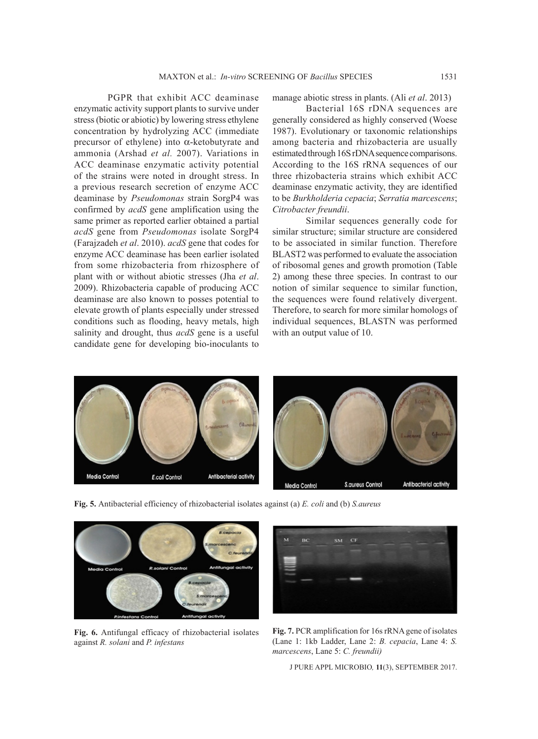PGPR that exhibit ACC deaminase enzymatic activity support plants to survive under stress (biotic or abiotic) by lowering stress ethylene concentration by hydrolyzing ACC (immediate precursor of ethylene) into  $\alpha$ -ketobutyrate and ammonia (Arshad *et al.* 2007). Variations in ACC deaminase enzymatic activity potential of the strains were noted in drought stress. In a previous research secretion of enzyme ACC deaminase by *Pseudomonas* strain SorgP4 was confirmed by *acdS* gene amplification using the same primer as reported earlier obtained a partial *acdS* gene from *Pseudomonas* isolate SorgP4 (Farajzadeh *et al*. 2010). *acdS* gene that codes for enzyme ACC deaminase has been earlier isolated from some rhizobacteria from rhizosphere of plant with or without abiotic stresses (Jha *et al*. 2009). Rhizobacteria capable of producing ACC deaminase are also known to posses potential to elevate growth of plants especially under stressed conditions such as flooding, heavy metals, high salinity and drought, thus *acdS* gene is a useful candidate gene for developing bio-inoculants to

manage abiotic stress in plants. (Ali *et al*. 2013)

Bacterial 16S rDNA sequences are generally considered as highly conserved (Woese 1987). Evolutionary or taxonomic relationships among bacteria and rhizobacteria are usually estimated through 16S rDNA sequence comparisons. According to the 16S rRNA sequences of our three rhizobacteria strains which exhibit ACC deaminase enzymatic activity, they are identified to be *Burkholderia cepacia*; *Serratia marcescens*; *Citrobacter freundii*.

Similar sequences generally code for similar structure; similar structure are considered to be associated in similar function. Therefore BLAST2 was performed to evaluate the association of ribosomal genes and growth promotion (Table 2) among these three species. In contrast to our notion of similar sequence to similar function, the sequences were found relatively divergent. Therefore, to search for more similar homologs of individual sequences, BLASTN was performed with an output value of 10.



**Fig. 5.** Antibacterial efficiency of rhizobacterial isolates against (a) *E. coli* and (b) *S.aureus*



**Fig. 6.** Antifungal efficacy of rhizobacterial isolates against *R. solani* and *P. infestans*



**Fig. 7.** PCR amplification for 16s rRNA gene of isolates (Lane 1: 1kb Ladder, Lane 2: *B. cepacia*, Lane 4: *S. marcescens*, Lane 5: *C. freundii)*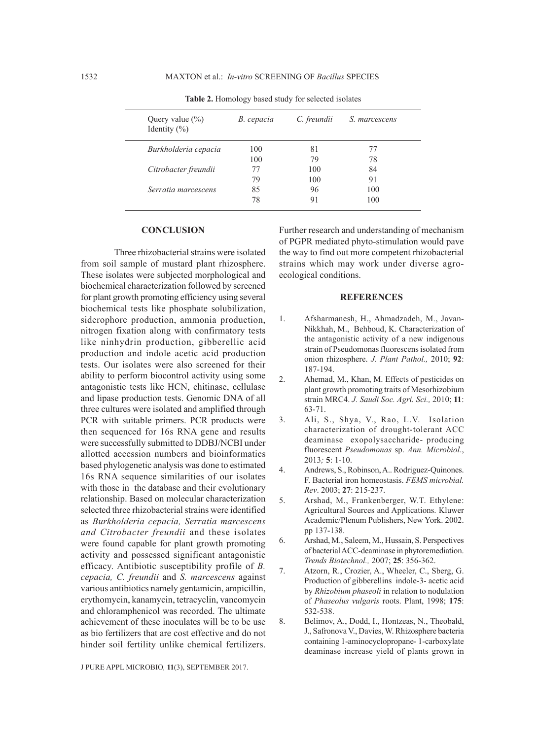| Query value $(\% )$<br>Identity $(\%)$ | B. cepacia | C. freundii | S. marcescens |  |
|----------------------------------------|------------|-------------|---------------|--|
| Burkholderia cepacia                   | 100        | 81          | 77            |  |
|                                        | 100        | 79          | 78            |  |
| Citrobacter freundii                   | 77         | 100         | 84            |  |
|                                        | 79         | 100         | 91            |  |
| Serratia marcescens                    | 85         | 96          | 100           |  |
|                                        | 78         | 91          | 100           |  |

**Table 2.** Homology based study for selected isolates

#### **CONCLUSION**

Three rhizobacterial strains were isolated from soil sample of mustard plant rhizosphere. These isolates were subjected morphological and biochemical characterization followed by screened for plant growth promoting efficiency using several biochemical tests like phosphate solubilization, siderophore production, ammonia production, nitrogen fixation along with confirmatory tests like ninhydrin production, gibberellic acid production and indole acetic acid production tests. Our isolates were also screened for their ability to perform biocontrol activity using some antagonistic tests like HCN, chitinase, cellulase and lipase production tests. Genomic DNA of all three cultures were isolated and amplified through PCR with suitable primers. PCR products were then sequenced for 16s RNA gene and results were successfully submitted to DDBJ/NCBI under allotted accession numbers and bioinformatics based phylogenetic analysis was done to estimated 16s RNA sequence similarities of our isolates with those in the database and their evolutionary relationship. Based on molecular characterization selected three rhizobacterial strains were identified as *Burkholderia cepacia, Serratia marcescens and Citrobacter freundii* and these isolates were found capable for plant growth promoting activity and possessed significant antagonistic efficacy. Antibiotic susceptibility profile of *B. cepacia, C. freundii* and *S. marcescens* against various antibiotics namely gentamicin, ampicillin, erythomycin, kanamycin, tetracyclin, vancomycin and chloramphenicol was recorded. The ultimate achievement of these inoculates will be to be use as bio fertilizers that are cost effective and do not hinder soil fertility unlike chemical fertilizers.

J PURE APPL MICROBIO*,* **11**(3), SEPTEMBER 2017.

Further research and understanding of mechanism of PGPR mediated phyto-stimulation would pave the way to find out more competent rhizobacterial strains which may work under diverse agroecological conditions.

#### **REFERENCES**

- 1. Afsharmanesh, H., Ahmadzadeh, M., Javan-Nikkhah, M., Behboud, K. Characterization of the antagonistic activity of a new indigenous strain of Pseudomonas fluorescens isolated from onion rhizosphere. *J. Plant Pathol.,* 2010; **92**: 187-194.
- 2. Ahemad, M., Khan, M. Effects of pesticides on plant growth promoting traits of Mesorhizobium strain MRC4. *J. Saudi Soc. Agri. Sci.,* 2010; **11**: 63-71.
- 3. Ali, S., Shya, V., Rao, L.V. Isolation characterization of drought-tolerant ACC deaminase exopolysaccharide- producing fluorescent *Pseudomonas* sp. *Ann. Microbiol*., 2013*;* **5**: 1-10.
- 4. Andrews, S., Robinson, A.. Rodriguez-Quinones. F. Bacterial iron homeostasis. *FEMS microbial. Rev*. 2003; **27**: 215-237.
- 5. Arshad, M., Frankenberger, W.T. Ethylene: Agricultural Sources and Applications. Kluwer Academic/Plenum Publishers, New York. 2002. pp 137-138.
- 6. Arshad, M., Saleem, M., Hussain, S. Perspectives of bacterial ACC-deaminase in phytoremediation. *Trends Biotechnol.,* 2007; **25**: 356-362.
- 7. Atzorn, R., Crozier, A., Wheeler, C., Sberg, G. Production of gibberellins indole-3- acetic acid by *Rhizobium phaseoli* in relation to nodulation of *Phaseolus vulgaris* roots. Plant, 1998; **175**: 532-538.
- 8. Belimov, A., Dodd, I., Hontzeas, N., Theobald, J., Safronova V., Davies, W. Rhizosphere bacteria containing 1-aminocyclopropane- 1-carboxylate deaminase increase yield of plants grown in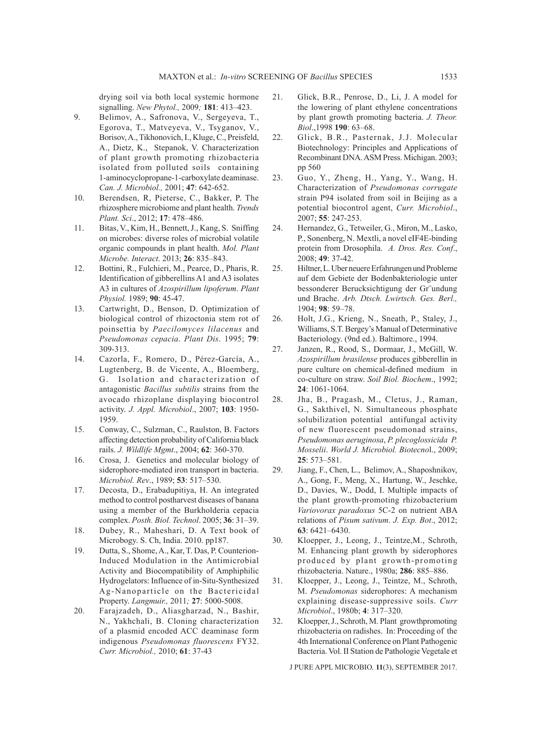drying soil via both local systemic hormone signalling. *New Phytol.,* 2009*;* **181**: 413–423.

- 9. Belimov, A., Safronova, V., Sergeyeva, T., Egorova, T., Matveyeva, V., Tsyganov, V., Borisov, A., Tikhonovich, I., Kluge, C., Preisfeld, A., Dietz, K., Stepanok, V. Characterization of plant growth promoting rhizobacteria isolated from polluted soils containing 1-aminocyclopropane-1-carboxylate deaminase. *Can. J. Microbiol.,* 2001; **47**: 642-652.
- 10. Berendsen, R, Pieterse, C., Bakker, P. The rhizosphere microbiome and plant health. *Trends Plant. Sci*., 2012; **17**: 478–486.
- 11. Bitas, V., Kim, H., Bennett, J., Kang, S. Sniffing on microbes: diverse roles of microbial volatile organic compounds in plant health. *Mol. Plant Microbe. Interact*. 2013; **26**: 835–843.
- 12. Bottini, R., Fulchieri, M., Pearce, D., Pharis, R. Identification of gibberellins A1 and A3 isolates A3 in cultures of *Azospirillum lipoferum*. *Plant Physiol.* 1989; **90**: 45-47.
- 13. Cartwright, D., Benson, D. Optimization of biological control of rhizoctonia stem rot of poinsettia by *Paecilomyces lilacenus* and *Pseudomonas cepacia*. *Plant Dis*. 1995; **79**: 309-313.
- 14. Cazorla, F., Romero, D., Pérez-García, A., Lugtenberg, B. de Vicente, A., Bloemberg, G. Isolation and characterization of antagonistic *Bacillus subtilis* strains from the avocado rhizoplane displaying biocontrol activity. *J. Appl. Microbiol*., 2007; **103**: 1950- 1959.
- 15. Conway, C., Sulzman, C., Raulston, B. Factors affecting detection probability of California black rails. *J. Wildlife Mgmt*., 2004; **62**: 360-370.
- 16. Crosa, J. Genetics and molecular biology of siderophore-mediated iron transport in bacteria. *Microbiol. Rev*., 1989; **53**: 517–530.
- 17. Decosta, D., Erabadupitiya, H. An integrated method to control postharvest diseases of banana using a member of the Burkholderia cepacia complex. *Posth. Biol. Technol*. 2005; **36**: 31–39.
- 18. Dubey, R., Maheshari, D. A Text book of Microbogy. S. Ch, India. 2010. pp187.
- 19. Dutta, S., Shome, A., Kar, T. Das, P. Counterion-Induced Modulation in the Antimicrobial Activity and Biocompatibility of Amphiphilic Hydrogelators: Influence of in-Situ-Synthesized Ag-Nanoparticle on the Bactericidal Property. *Langmuir.,* 2011*;* **27**: 5000-5008.
- 20. Farajzadeh, D., Aliasgharzad, N., Bashir, N., Yakhchali, B. Cloning characterization of a plasmid encoded ACC deaminase form indigenous *Pseudomonas fluorescens* FY32. *Curr. Microbiol.,* 2010; **61**: 37-43
- 21. Glick, B.R., Penrose, D., Li, J. A model for the lowering of plant ethylene concentrations by plant growth promoting bacteria. *J. Theor. Biol*.,1998 **190**: 63–68.
- 22. Glick, B.R., Pasternak, J.J. Molecular Biotechnology: Principles and Applications of Recombinant DNA. ASM Press. Michigan. 2003; pp 560
- 23. Guo, Y., Zheng, H., Yang, Y., Wang, H. Characterization of *Pseudomonas corrugate* strain P94 isolated from soil in Beijing as a potential biocontrol agent, *Curr. Microbiol*., 2007; **55**: 247-253.
- 24. Hernandez, G., Tetweiler, G., Miron, M., Lasko, P., Sonenberg, N. Mextli, a novel eIF4E-binding protein from Drosophila. *A. Dros. Res. Conf*., 2008; **49**: 37-42.
- 25. Hiltner, L. Uber neuere Erfahrungen und Probleme auf dem Gebiete der Bodenbakteriologie unter bessonderer Berucksichtigung der Gr¨undung und Brache. *Arb. Dtsch. Lwirtsch. Ges. Berl.,*  1904; **98**: 59–78.
- 26. Holt, J.G., Krieng, N., Sneath, P., Staley, J., Williams, S.T. Bergey's Manual of Determinative Bacteriology. (9nd ed.). Baltimore., 1994.
- 27. Janzen, R., Rood, S., Dormaar, J., McGill, W. *Azospirillum brasilense* produces gibberellin in pure culture on chemical-defined medium in co-culture on straw. *Soil Biol. Biochem*., 1992; **24**: 1061-1064.
- 28. Jha, B., Pragash, M., Cletus, J., Raman, G., Sakthivel, N. Simultaneous phosphate solubilization potential antifungal activity of new fluorescent pseudomonad strains, *Pseudomonas aeruginosa*, *P. plecoglossicida P. Mosselii*. *World J. Microbiol. Biotecno*l., 2009; **25**: 573–581.
- 29. Jiang, F., Chen, L., Belimov, A., Shaposhnikov, A., Gong, F., Meng, X., Hartung, W., Jeschke, D., Davies, W., Dodd, I. Multiple impacts of the plant growth-promoting rhizobacterium *Variovorax paradoxus* 5C-2 on nutrient ABA relations of *Pisum sativum*. *J. Exp. Bot*., 2012; **63**: 6421–6430.
- 30. Kloepper, J., Leong, J., Teintze,M., Schroth, M. Enhancing plant growth by siderophores produced by plant growth-promoting rhizobacteria. Nature., 1980a; **286**: 885–886.
- 31. Kloepper, J., Leong, J., Teintze, M., Schroth, M. *Pseudomonas* siderophores: A mechanism explaining disease-suppressive soils. *Curr Microbiol*., 1980b; **4**: 317–320.
- 32. Kloepper,J., Schroth, M. Plant growthpromoting rhizobacteria on radishes. In: Proceeding of the 4th International Conference on Plant Pathogenic Bacteria. Vol. II Station de Pathologie Vegetale et